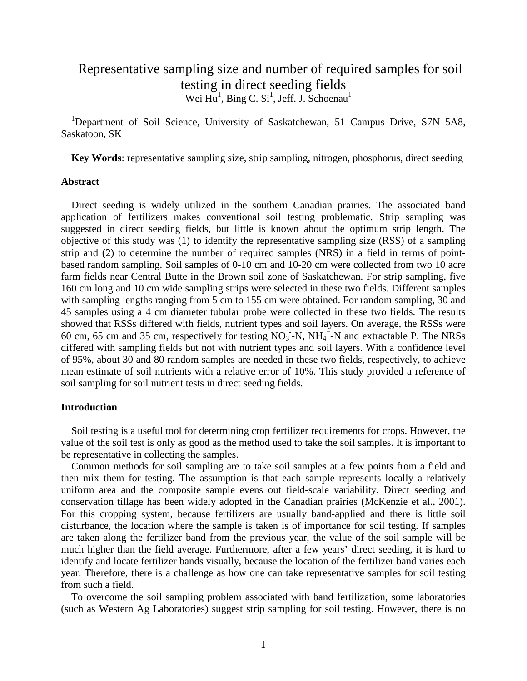# Representative sampling size and number of required samples for soil testing in direct seeding fields Wei  $Hu^1$ , Bing C. Si<sup>1</sup>, Jeff. J. Schoenau<sup>1</sup>

<sup>1</sup>Department of Soil Science, University of Saskatchewan, 51 Campus Drive, S7N 5A8, Saskatoon, SK

**Key Words**: representative sampling size, strip sampling, nitrogen, phosphorus, direct seeding

#### **Abstract**

Direct seeding is widely utilized in the southern Canadian prairies. The associated band application of fertilizers makes conventional soil testing problematic. Strip sampling was suggested in direct seeding fields, but little is known about the optimum strip length. The objective of this study was (1) to identify the representative sampling size (RSS) of a sampling strip and (2) to determine the number of required samples (NRS) in a field in terms of pointbased random sampling. Soil samples of 0-10 cm and 10-20 cm were collected from two 10 acre farm fields near Central Butte in the Brown soil zone of Saskatchewan. For strip sampling, five 160 cm long and 10 cm wide sampling strips were selected in these two fields. Different samples with sampling lengths ranging from 5 cm to 155 cm were obtained. For random sampling, 30 and 45 samples using a 4 cm diameter tubular probe were collected in these two fields. The results showed that RSSs differed with fields, nutrient types and soil layers. On average, the RSSs were 60 cm, 65 cm and 35 cm, respectively for testing  $NO_3$ -N,  $NH_4$ <sup>+</sup>-N and extractable P. The NRSs differed with sampling fields but not with nutrient types and soil layers. With a confidence level of 95%, about 30 and 80 random samples are needed in these two fields, respectively, to achieve mean estimate of soil nutrients with a relative error of 10%. This study provided a reference of soil sampling for soil nutrient tests in direct seeding fields.

# **Introduction**

Soil testing is a useful tool for determining crop fertilizer requirements for crops. However, the value of the soil test is only as good as the method used to take the soil samples. It is important to be representative in collecting the samples.

Common methods for soil sampling are to take soil samples at a few points from a field and then mix them for testing. The assumption is that each sample represents locally a relatively uniform area and the composite sample evens out field-scale variability. Direct seeding and conservation tillage has been widely adopted in the Canadian prairies (McKenzie et al., 2001). For this cropping system, because fertilizers are usually band-applied and there is little soil disturbance, the location where the sample is taken is of importance for soil testing. If samples are taken along the fertilizer band from the previous year, the value of the soil sample will be much higher than the field average. Furthermore, after a few years' direct seeding, it is hard to identify and locate fertilizer bands visually, because the location of the fertilizer band varies each year. Therefore, there is a challenge as how one can take representative samples for soil testing from such a field.

To overcome the soil sampling problem associated with band fertilization, some laboratories (such as Western Ag Laboratories) suggest strip sampling for soil testing. However, there is no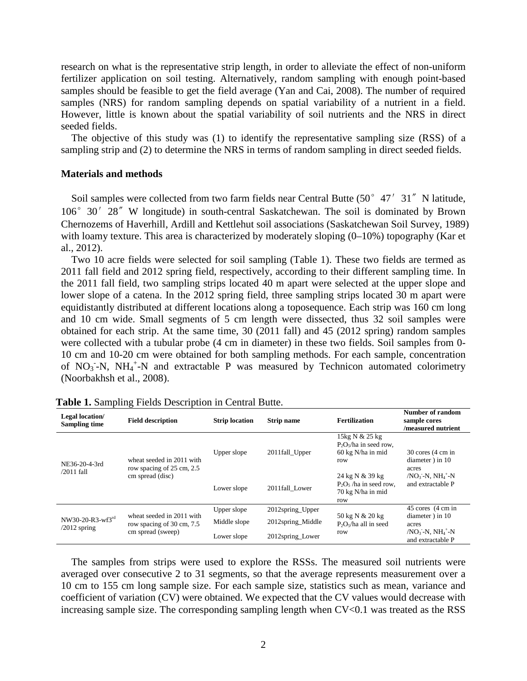research on what is the representative strip length, in order to alleviate the effect of non-uniform fertilizer application on soil testing. Alternatively, random sampling with enough point-based samples should be feasible to get the field average (Yan and Cai, 2008). The number of required samples (NRS) for random sampling depends on spatial variability of a nutrient in a field. However, little is known about the spatial variability of soil nutrients and the NRS in direct seeded fields.

The objective of this study was (1) to identify the representative sampling size (RSS) of a sampling strip and (2) to determine the NRS in terms of random sampling in direct seeded fields.

#### **Materials and methods**

Soil samples were collected from two farm fields near Central Butte (50° 47′31″N latitude, 106°30′28〞W longitude) in south-central Saskatchewan. The soil is dominated by Brown Chernozems of Haverhill, Ardill and Kettlehut soil associations (Saskatchewan Soil Survey, 1989) with loamy texture. This area is characterized by moderately sloping  $(0-10\%)$  topography (Kar et al., 2012).

Two 10 acre fields were selected for soil sampling (Table 1). These two fields are termed as 2011 fall field and 2012 spring field, respectively, according to their different sampling time. In the 2011 fall field, two sampling strips located 40 m apart were selected at the upper slope and lower slope of a catena. In the 2012 spring field, three sampling strips located 30 m apart were equidistantly distributed at different locations along a toposequence. Each strip was 160 cm long and 10 cm wide. Small segments of 5 cm length were dissected, thus 32 soil samples were obtained for each strip. At the same time, 30 (2011 fall) and 45 (2012 spring) random samples were collected with a tubular probe (4 cm in diameter) in these two fields. Soil samples from 0- 10 cm and 10-20 cm were obtained for both sampling methods. For each sample, concentration of  $NO_3$ -N,  $NH_4$ <sup>+</sup>-N and extractable P was measured by Technicon automated colorimetry (Noorbakhsh et al., 2008).

| Legal location/<br>Sampling time   | <b>Field description</b>                                                    | <b>Strip location</b> | <b>Strip name</b> | <b>Fertilization</b>                                                     | Number of random<br>sample cores<br>/measured nutrient          |  |
|------------------------------------|-----------------------------------------------------------------------------|-----------------------|-------------------|--------------------------------------------------------------------------|-----------------------------------------------------------------|--|
| NE36-20-4-3rd<br>$/2011$ fall      | wheat seeded in 2011 with<br>row spacing of 25 cm, 2.5                      | Upper slope           | 2011fall_Upper    | 15kg N & 25 kg<br>$P_2O_5$ /ha in seed row,<br>60 kg N/ha in mid<br>row  | 30 cores (4 cm in<br>diameter) in 10<br>acres                   |  |
|                                    | cm spread (disc)                                                            | Lower slope           | 2011fall Lower    | 24 kg N & 39 kg<br>$P_2O_5$ /ha in seed row,<br>70 kg N/ha in mid<br>row | $/NO3$ -N, NH <sub>4</sub> <sup>+</sup> -N<br>and extractable P |  |
| NW30-20-R3-wf3rd<br>$/2012$ spring | wheat seeded in 2011 with<br>row spacing of 30 cm, 7.5<br>cm spread (sweep) | Upper slope           | 2012spring Upper  |                                                                          | 45 cores (4 cm in                                               |  |
|                                    |                                                                             | Middle slope          | 2012spring Middle | 50 kg N & 20 kg<br>$P_2O_5$ /ha all in seed                              | diameter) in 10<br>acres                                        |  |
|                                    |                                                                             | Lower slope           | 2012spring Lower  | row                                                                      | $/NO3$ -N. NH <sub>4</sub> <sup>+</sup> -N<br>and extractable P |  |

| Table 1. Sampling Fields Description in Central Butte. |  |  |  |  |  |
|--------------------------------------------------------|--|--|--|--|--|
|--------------------------------------------------------|--|--|--|--|--|

The samples from strips were used to explore the RSSs. The measured soil nutrients were averaged over consecutive 2 to 31 segments, so that the average represents measurement over a 10 cm to 155 cm long sample size. For each sample size, statistics such as mean, variance and coefficient of variation (CV) were obtained. We expected that the CV values would decrease with increasing sample size. The corresponding sampling length when CV<0.1 was treated as the RSS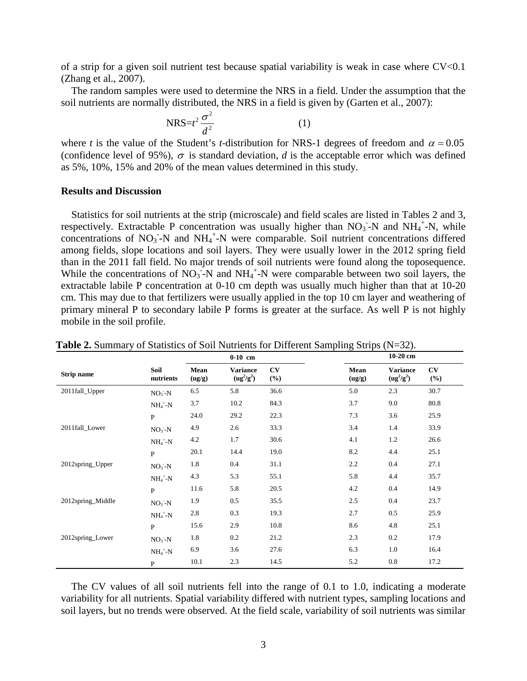of a strip for a given soil nutrient test because spatial variability is weak in case where CV<0.1 (Zhang et al., 2007).

The random samples were used to determine the NRS in a field. Under the assumption that the soil nutrients are normally distributed, the NRS in a field is given by (Garten et al., 2007):

$$
NRS = t^2 \frac{\sigma^2}{d^2} \tag{1}
$$

where *t* is the value of the Student's *t*-distribution for NRS-1 degrees of freedom and  $\alpha = 0.05$ (confidence level of 95%),  $\sigma$  is standard deviation, *d* is the acceptable error which was defined as 5%, 10%, 15% and 20% of the mean values determined in this study.

# **Results and Discussion**

Statistics for soil nutrients at the strip (microscale) and field scales are listed in Tables 2 and 3, respectively. Extractable P concentration was usually higher than  $NO<sub>3</sub>$ -N and  $NH<sub>4</sub>$ <sup>+</sup>-N, while concentrations of  $NO_3$ -N and  $NH_4$ <sup>+</sup>-N were comparable. Soil nutrient concentrations differed among fields, slope locations and soil layers. They were usually lower in the 2012 spring field than in the 2011 fall field. No major trends of soil nutrients were found along the toposequence. While the concentrations of  $NO<sub>3</sub>$ -N and  $NH<sub>4</sub>$ <sup>+</sup>-N were comparable between two soil layers, the extractable labile P concentration at 0-10 cm depth was usually much higher than that at 10-20 cm. This may due to that fertilizers were usually applied in the top 10 cm layer and weathering of primary mineral P to secondary labile P forms is greater at the surface. As well P is not highly mobile in the soil profile.

|                   |                        | $0-10$ cm      |                                 |              | 10-20 cm       |                                 |              |
|-------------------|------------------------|----------------|---------------------------------|--------------|----------------|---------------------------------|--------------|
| <b>Strip name</b> | Soil<br>nutrients      | Mean<br>(ug/g) | <b>Variance</b><br>$(ug^2/g^2)$ | CV<br>$(\%)$ | Mean<br>(ug/g) | <b>Variance</b><br>$(ug^2/g^2)$ | CV<br>$(\%)$ |
| 2011fall_Upper    | $NO3 - N$              | 6.5            | 5.8                             | 36.6         | 5.0            | 2.3                             | 30.7         |
|                   | $NH_4$ <sup>+</sup> -N | 3.7            | 10.2                            | 84.3         | 3.7            | 9.0                             | 80.8         |
|                   | $\mathbf{P}$           | 24.0           | 29.2                            | 22.3         | 7.3            | 3.6                             | 25.9         |
| 2011fall_Lower    | $NO3-N$                | 4.9            | 2.6                             | 33.3         | 3.4            | 1.4                             | 33.9         |
|                   | $NH_4^+$ -N            | 4.2            | 1.7                             | 30.6         | 4.1            | 1.2                             | 26.6         |
|                   | $\mathbf{P}$           | 20.1           | 14.4                            | 19.0         | 8.2            | 4.4                             | 25.1         |
| 2012spring_Upper  | $NO3 - N$              | 1.8            | 0.4                             | 31.1         | 2.2            | 0.4                             | 27.1         |
|                   | $NH_4$ <sup>+</sup> -N | 4.3            | 5.3                             | 55.1         | 5.8            | 4.4                             | 35.7         |
|                   | $\mathbf{P}$           | 11.6           | 5.8                             | 20.5         | 4.2            | 0.4                             | 14.9         |
| 2012spring_Middle | $NO3-N$                | 1.9            | 0.5                             | 35.5         | 2.5            | 0.4                             | 23.7         |
|                   | $NH_4^+$ -N            | 2.8            | 0.3                             | 19.3         | 2.7            | 0.5                             | 25.9         |
|                   | $\mathbf{P}$           | 15.6           | 2.9                             | 10.8         | 8.6            | 4.8                             | 25.1         |
| 2012spring_Lower  | $NO3-N$                | 1.8            | 0.2                             | 21.2         | 2.3            | 0.2                             | 17.9         |
|                   | $NH_4$ <sup>+</sup> -N | 6.9            | 3.6                             | 27.6         | 6.3            | 1.0                             | 16.4         |
|                   | $\mathbf{P}$           | 10.1           | 2.3                             | 14.5         | 5.2            | 0.8                             | 17.2         |

**Table 2.** Summary of Statistics of Soil Nutrients for Different Sampling Strips (N=32).

The CV values of all soil nutrients fell into the range of 0.1 to 1.0, indicating a moderate variability for all nutrients. Spatial variability differed with nutrient types, sampling locations and soil layers, but no trends were observed. At the field scale, variability of soil nutrients was similar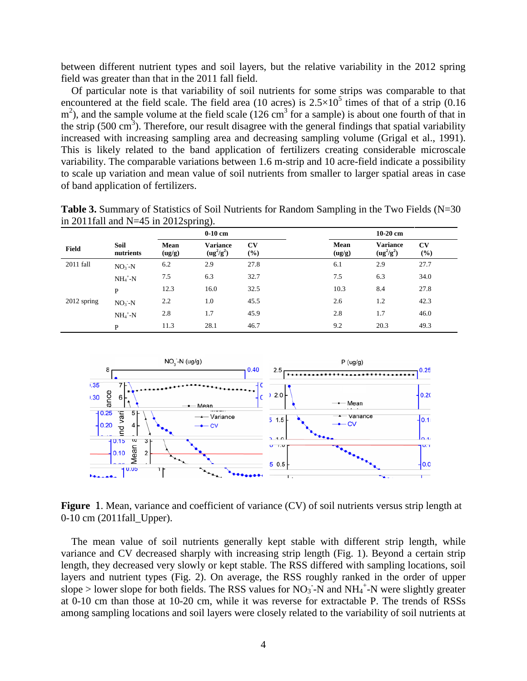between different nutrient types and soil layers, but the relative variability in the 2012 spring field was greater than that in the 2011 fall field.

Of particular note is that variability of soil nutrients for some strips was comparable to that encountered at the field scale. The field area (10 acres) is  $2.5 \times 10^5$  times of that of a strip (0.16  $m<sup>2</sup>$ ), and the sample volume at the field scale (126 cm<sup>3</sup> for a sample) is about one fourth of that in the strip (500 cm<sup>3</sup>). Therefore, our result disagree with the general findings that spatial variability increased with increasing sampling area and decreasing sampling volume (Grigal et al., 1991). This is likely related to the band application of fertilizers creating considerable microscale variability. The comparable variations between 1.6 m-strip and 10 acre-field indicate a possibility to scale up variation and mean value of soil nutrients from smaller to larger spatial areas in case of band application of fertilizers.

| <b>Table 3.</b> Summary of Statistics of Soil Nutrients for Random Sampling in the Two Fields $(N=30)$ |  |
|--------------------------------------------------------------------------------------------------------|--|
| in 2011 fall and $N=45$ in 2012 spring).                                                               |  |

|               |                        |                | $0-10$ cm                       |                  |                | $10-20$ cm                      |                               |
|---------------|------------------------|----------------|---------------------------------|------------------|----------------|---------------------------------|-------------------------------|
| Field         | Soil<br>nutrients      | Mean<br>(ug/g) | <b>Variance</b><br>$(ug^2/g^2)$ | <b>CV</b><br>(%) | Mean<br>(ug/g) | <b>Variance</b><br>$(ug^2/g^2)$ | $\mathbf{C}\mathbf{V}$<br>(%) |
| 2011 fall     | $NO3-N$                | 6.2            | 2.9                             | 27.8             | 6.1            | 2.9                             | 27.7                          |
|               | $NH_4$ <sup>+</sup> -N | 7.5            | 6.3                             | 32.7             | 7.5            | 6.3                             | 34.0                          |
|               | P                      | 12.3           | 16.0                            | 32.5             | 10.3           | 8.4                             | 27.8                          |
| $2012$ spring | $NO3 - N$              | 2.2            | 1.0                             | 45.5             | 2.6            | 1.2                             | 42.3                          |
|               | $NH_4$ <sup>+</sup> -N | 2.8            | 1.7                             | 45.9             | 2.8            | 1.7                             | 46.0                          |
|               | P                      | 11.3           | 28.1                            | 46.7             | 9.2            | 20.3                            | 49.3                          |



Figure 1. Mean, variance and coefficient of variance (CV) of soil nutrients versus strip length at 0-10 cm (2011fall Upper).

The mean value of soil nutrients generally kept stable with different strip length, while variance and CV decreased sharply with increasing strip length (Fig. 1). Beyond a certain strip length, they decreased very slowly or kept stable. The RSS differed with sampling locations, soil layers and nutrient types (Fig. 2). On average, the RSS roughly ranked in the order of upper slope > lower slope for both fields. The RSS values for  $NO<sub>3</sub>$ -N and  $NH<sub>4</sub>$ <sup>+</sup>-N were slightly greater at 0-10 cm than those at 10-20 cm, while it was reverse for extractable P. The trends of RSSs among sampling locations and soil layers were closely related to the variability of soil nutrients at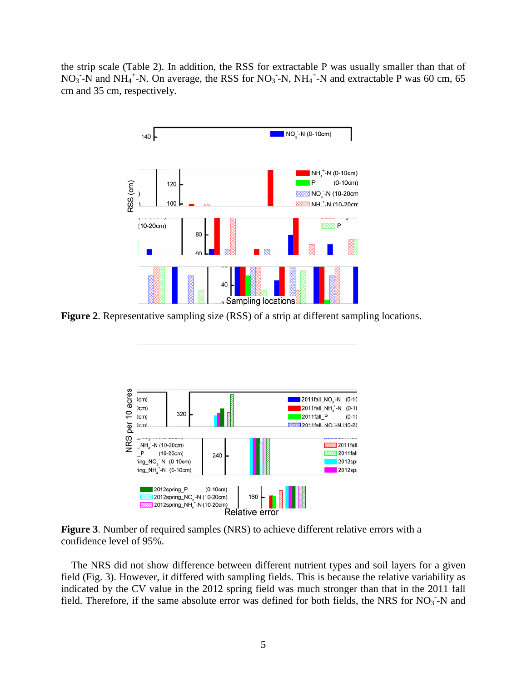the strip scale (Table 2). In addition, the RSS for extractable P was usually smaller than that of NO<sub>3</sub> -N and NH<sub>4</sub><sup>+</sup>-N. On average, the RSS for NO<sub>3</sub> -N, NH<sub>4</sub><sup>+</sup>-N and extractable P was 60 cm, 65 cm and 35 cm, respectively.



**Figure 2**. Representative sampling size (RSS) of a strip at different sampling locations.



**Figure 3**. Number of required samples (NRS) to achieve different relative errors with a confidence level of 95%.

The NRS did not show difference between different nutrient types and soil layers for a given field (Fig. 3). However, it differed with sampling fields. This is because the relative variability as indicated by the CV value in the 2012 spring field was much stronger than that in the 2011 fall field. Therefore, if the same absolute error was defined for both fields, the NRS for  $NO<sub>3</sub>$ -N and